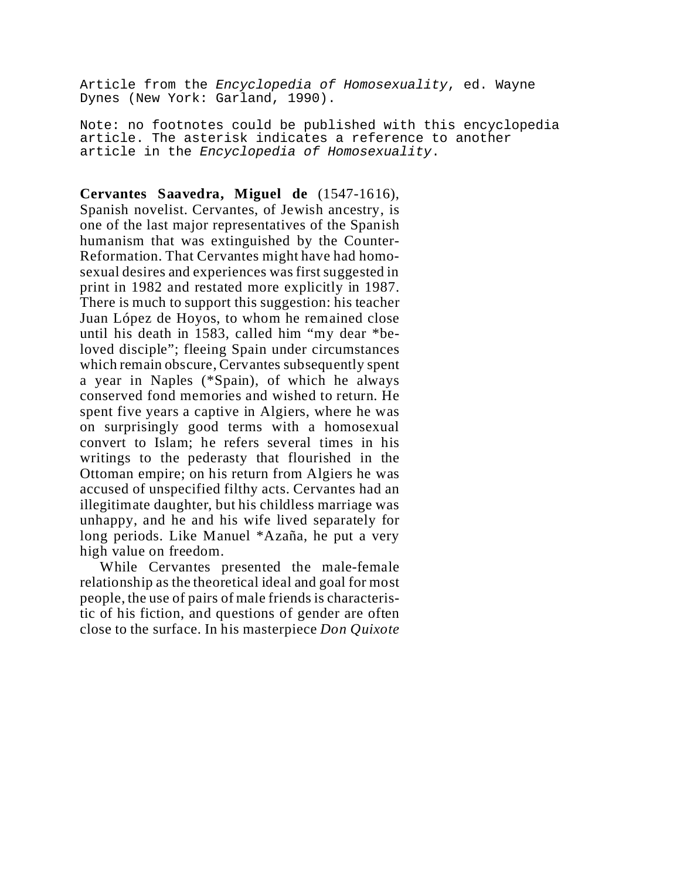Article from the *Encyclopedia of Homosexuality*, ed. Wayne Dynes (New York: Garland, 1990).

Note: no footnotes could be published with this encyclopedia article. The asterisk indicates a reference to another article in the *Encyclopedia of Homosexuality*.

## **Cervantes Saavedra, Miguel de** (1547-1616),

Spanish novelist. Cervantes, of Jewish ancestry, is one of the last major representatives of the Spanish humanism that was extinguished by the Counter-Reformation. That Cervantes might have had homosexual desires and experiences was first suggested in print in 1982 and restated more explicitly in 1987. There is much to support this suggestion: his teacher Juan López de Hoyos, to whom he remained close until his death in 1583, called him "my dear \*beloved disciple"; fleeing Spain under circumstances which remain obscure, Cervantes subsequently spent a year in Naples (\*Spain), of which he always conserved fond memories and wished to return. He spent five years a captive in Algiers, where he was on surprisingly good terms with a homosexual convert to Islam; he refers several times in his writings to the pederasty that flourished in the Ottoman empire; on his return from Algiers he was accused of unspecified filthy acts. Cervantes had an illegitimate daughter, but his childless marriage was unhappy, and he and his wife lived separately for long periods. Like Manuel \*Azaña, he put a very high value on freedom.

While Cervantes presented the male-female relationship as the theoretical ideal and goal for most people, the use of pairs of male friends is characteristic of his fiction, and questions of gender are often close to the surface. In his masterpiece *Don Quixote*